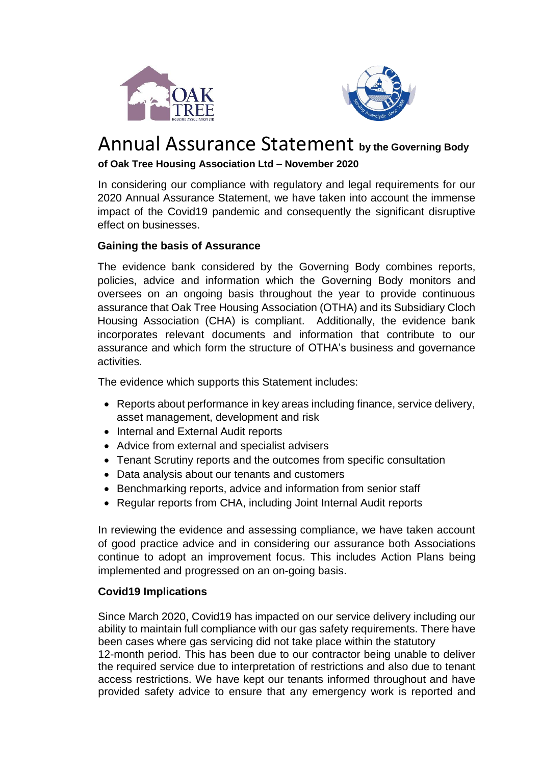



# Annual Assurance Statement **by the Governing Body**

## **of Oak Tree Housing Association Ltd – November 2020**

In considering our compliance with regulatory and legal requirements for our 2020 Annual Assurance Statement, we have taken into account the immense impact of the Covid19 pandemic and consequently the significant disruptive effect on businesses.

## **Gaining the basis of Assurance**

The evidence bank considered by the Governing Body combines reports, policies, advice and information which the Governing Body monitors and oversees on an ongoing basis throughout the year to provide continuous assurance that Oak Tree Housing Association (OTHA) and its Subsidiary Cloch Housing Association (CHA) is compliant. Additionally, the evidence bank incorporates relevant documents and information that contribute to our assurance and which form the structure of OTHA's business and governance activities.

The evidence which supports this Statement includes:

- Reports about performance in key areas including finance, service delivery, asset management, development and risk
- Internal and External Audit reports
- Advice from external and specialist advisers
- Tenant Scrutiny reports and the outcomes from specific consultation
- Data analysis about our tenants and customers
- Benchmarking reports, advice and information from senior staff
- Regular reports from CHA, including Joint Internal Audit reports

In reviewing the evidence and assessing compliance, we have taken account of good practice advice and in considering our assurance both Associations continue to adopt an improvement focus. This includes Action Plans being implemented and progressed on an on-going basis.

#### **Covid19 Implications**

Since March 2020, Covid19 has impacted on our service delivery including our ability to maintain full compliance with our gas safety requirements. There have been cases where gas servicing did not take place within the statutory 12-month period. This has been due to our contractor being unable to deliver the required service due to interpretation of restrictions and also due to tenant access restrictions. We have kept our tenants informed throughout and have provided safety advice to ensure that any emergency work is reported and